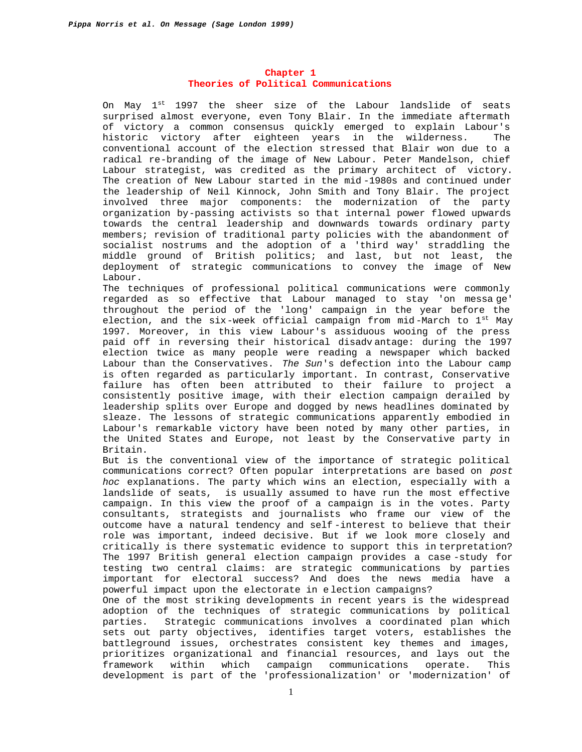# **Chapter 1 Theories of Political Communications**

On May  $1^{st}$  1997 the sheer size of the Labour landslide of seats surprised almost everyone, even Tony Blair. In the immediate aftermath of victory a common consensus quickly emerged to explain Labour's historic victory after eighteen years in the wilderness. The conventional account of the election stressed that Blair won due to a radical re-branding of the image of New Labour. Peter Mandelson, chief Labour strategist, was credited as the primary architect of victory. The creation of New Labour started in the mid -1980s and continued under the leadership of Neil Kinnock, John Smith and Tony Blair. The project involved three major components: the modernization of the party organization by-passing activists so that internal power flowed upwards towards the central leadership and downwards towards ordinary party members; revision of traditional party policies with the abandonment of socialist nostrums and the adoption of a 'third way' straddling the middle ground of British politics; and last, but not least, the deployment of strategic communications to convey the image of New Labour.

The techniques of professional political communications were commonly regarded as so effective that Labour managed to stay 'on messa ge' throughout the period of the 'long' campaign in the year before the election, and the  $six$ -week official campaign from mid-March to  $1^{st}$  May 1997. Moreover, in this view Labour's assiduous wooing of the press paid off in reversing their historical disadv antage: during the 1997 election twice as many people were reading a newspaper which backed Labour than the Conservatives. *The Sun*'s defection into the Labour camp is often regarded as particularly important. In contrast, Conservative failure has often been attributed to their failure to project a consistently positive image, with their election campaign derailed by leadership splits over Europe and dogged by news headlines dominated by sleaze. The lessons of strategic communications apparently embodied in Labour's remarkable victory have been noted by many other parties, in the United States and Europe, not least by the Conservative party in Britain.

But is the conventional view of the importance of strategic political communications correct? Often popular interpretations are based on *post hoc* explanations. The party which wins an election, especially with a landslide of seats, is usually assumed to have run the most effective campaign. In this view the proof of a campaign is in the votes. Party consultants, strategists and journalists who frame our view of the outcome have a natural tendency and self -interest to believe that their role was important, indeed decisive. But if we look more closely and critically is there systematic evidence to support this in terpretation? The 1997 British general election campaign provides a case -study for testing two central claims: are strategic communications by parties important for electoral success? And does the news media have a powerful impact upon the electorate in e lection campaigns?

One of the most striking developments in recent years is the widespread adoption of the techniques of strategic communications by political parties. Strategic communications involves a coordinated plan which sets out party objectives, identifies target voters, establishes the battleground issues, orchestrates consistent key themes and images, prioritizes organizational and financial resources, and lays out the framework within which campaign communications operate. This development is part of the 'professionalization' or 'modernization' of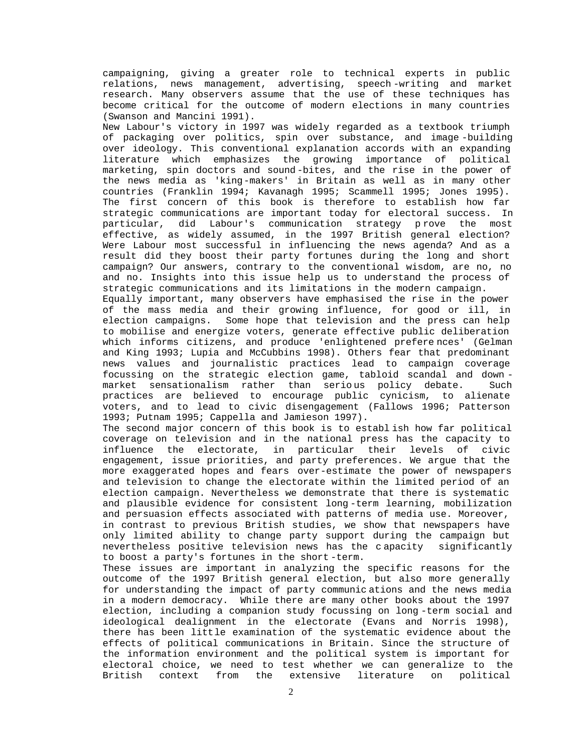campaigning, giving a greater role to technical experts in public relations, news management, advertising, speech -writing and market research. Many observers assume that the use of these techniques has become critical for the outcome of modern elections in many countries (Swanson and Mancini 1991).

New Labour's victory in 1997 was widely regarded as a textbook triumph of packaging over politics, spin over substance, and image -building over ideology. This conventional explanation accords with an expanding literature which emphasizes the growing importance of political marketing, spin doctors and sound -bites, and the rise in the power of the news media as 'king-makers' in Britain as well as in many other countries (Franklin 1994; Kavanagh 1995; Scammell 1995; Jones 1995). The first concern of this book is therefore to establish how far strategic communications are important today for electoral success. In particular, did Labour's communication strategy prove the most effective, as widely assumed, in the 1997 British general election? Were Labour most successful in influencing the news agenda? And as a result did they boost their party fortunes during the long and short campaign? Our answers, contrary to the conventional wisdom, are no, no and no. Insights into this issue help us to understand the process of strategic communications and its limitations in the modern campaign.

Equally important, many observers have emphasised the rise in the power of the mass media and their growing influence, for good or ill, in election campaigns. Some hope that television and the press can help to mobilise and energize voters, generate effective public deliberation which informs citizens, and produce 'enlightened prefere nces' (Gelman and King 1993; Lupia and McCubbins 1998). Others fear that predominant news values and journalistic practices lead to campaign coverage focussing on the strategic election game, tabloid scandal and down market sensationalism rather than serious policy debate. Such practices are believed to encourage public cynicism, to alienate voters, and to lead to civic disengagement (Fallows 1996; Patterson 1993; Putnam 1995; Cappella and Jamieson 1997).

The second major concern of this book is to establ ish how far political coverage on television and in the national press has the capacity to influence the electorate, in particular their levels of civic engagement, issue priorities, and party preferences. We argue that the more exaggerated hopes and fears over-estimate the power of newspapers and television to change the electorate within the limited period of an election campaign. Nevertheless we demonstrate that there is systematic and plausible evidence for consistent long -term learning, mobilization and persuasion effects associated with patterns of media use. Moreover, in contrast to previous British studies, we show that newspapers have only limited ability to change party support during the campaign but nevertheless positive television news has the c apacity significantly to boost a party's fortunes in the short -term.

These issues are important in analyzing the specific reasons for the outcome of the 1997 British general election, but also more generally for understanding the impact of party communic ations and the news media in a modern democracy. While there are many other books about the 1997 election, including a companion study focussing on long -term social and ideological dealignment in the electorate (Evans and Norris 1998), there has been little examination of the systematic evidence about the effects of political communications in Britain. Since the structure of the information environment and the political system is important for electoral choice, we need to test whether we can generalize to the British context from the extensive literature on political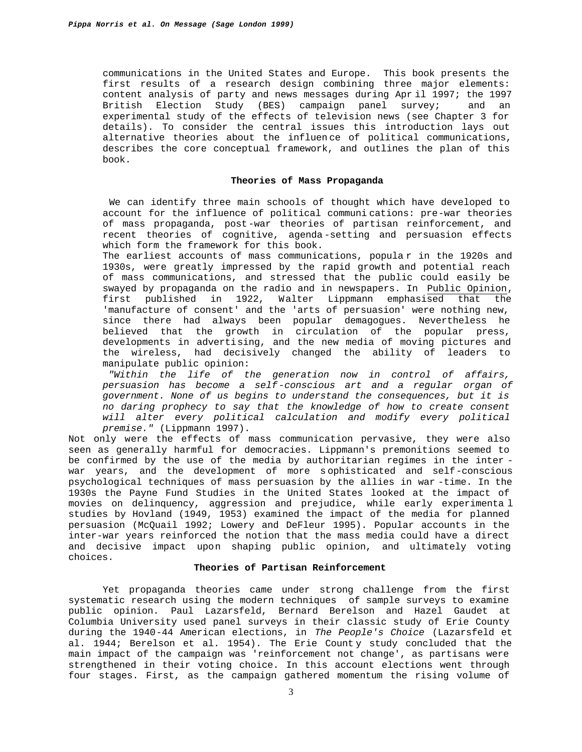communications in the United States and Europe. This book presents the first results of a research design combining three major elements: content analysis of party and news messages during Apr il 1997; the 1997 British Election Study (BES) campaign panel survey; and an experimental study of the effects of television news (see Chapter 3 for details). To consider the central issues this introduction lays out alternative theories about the influen ce of political communications, describes the core conceptual framework, and outlines the plan of this book.

### **Theories of Mass Propaganda**

 We can identify three main schools of thought which have developed to account for the influence of political communi cations: pre-war theories of mass propaganda, post-war theories of partisan reinforcement, and recent theories of cognitive, agenda -setting and persuasion effects which form the framework for this book.

The earliest accounts of mass communications, popular in the 1920s and 1930s, were greatly impressed by the rapid growth and potential reach of mass communications, and stressed that the public could easily be swayed by propaganda on the radio and in newspapers. In Public Opinion, first published in 1922, Walter Lippmann emphasised that the 'manufacture of consent' and the 'arts of persuasion' were nothing new, since there had always been popular demagogues. Nevertheless he believed that the growth in circulation of the popular press, developments in advertising, and the new media of moving pictures and the wireless, had decisively changed the ability of leaders to manipulate public opinion:

*"Within the life of the generation now in control of affairs, persuasion has become a self-conscious art and a regular organ of government. None of us begins to understand the consequences, but it is no daring prophecy to say that the knowledge of how to create consent will alter every political calculation and modify every political premise."* (Lippmann 1997).

Not only were the effects of mass communication pervasive, they were also seen as generally harmful for democracies. Lippmann's premonitions seemed to be confirmed by the use of the media by authoritarian regimes in the inter war years, and the development of more s ophisticated and self-conscious psychological techniques of mass persuasion by the allies in war -time. In the 1930s the Payne Fund Studies in the United States looked at the impact of movies on delinquency, aggression and prejudice, while early experimenta l studies by Hovland (1949, 1953) examined the impact of the media for planned persuasion (McQuail 1992; Lowery and DeFleur 1995). Popular accounts in the inter-war years reinforced the notion that the mass media could have a direct and decisive impact upon shaping public opinion, and ultimately voting choices.

### **Theories of Partisan Reinforcement**

Yet propaganda theories came under strong challenge from the first systematic research using the modern techniques of sample surveys to examine public opinion. Paul Lazarsfeld, Bernard Berelson and Hazel Gaudet at Columbia University used panel surveys in their classic study of Erie County during the 1940-44 American elections, in *The People's Choice* (Lazarsfeld et al. 1944; Berelson et al. 1954). The Erie County study concluded that the main impact of the campaign was 'reinforcement not change', as partisans were strengthened in their voting choice. In this account elections went through four stages. First, as the campaign gathered momentum the rising volume of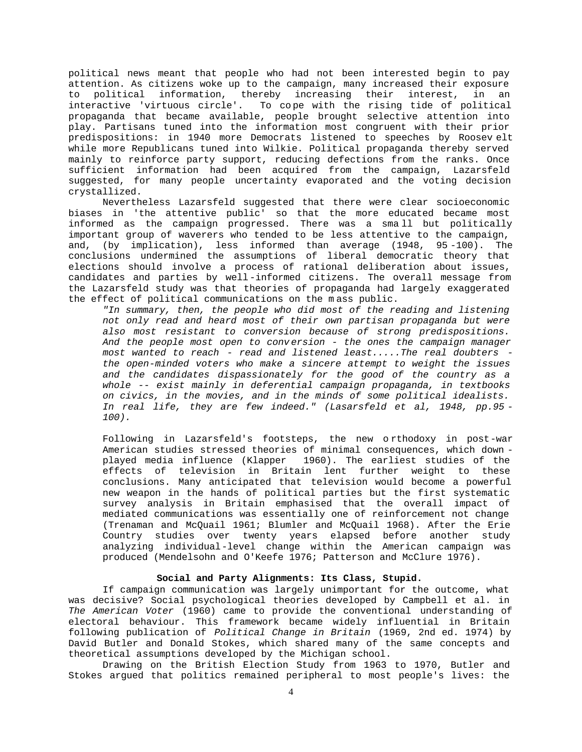political news meant that people who had not been interested begin to pay attention. As citizens woke up to the campaign, many increased their exposure to political information, thereby increasing their interest, in an interactive 'virtuous circle'. To cope with the rising tide of political propaganda that became available, people brought selective attention into play. Partisans tuned into the information most congruent with their prior predispositions: in 1940 more Democrats listened to speeches by Roosev elt while more Republicans tuned into Wilkie. Political propaganda thereby served mainly to reinforce party support, reducing defections from the ranks. Once sufficient information had been acquired from the campaign, Lazarsfeld suggested, for many people uncertainty evaporated and the voting decision crystallized.

Nevertheless Lazarsfeld suggested that there were clear socioeconomic biases in 'the attentive public' so that the more educated became most informed as the campaign progressed. There was a sma ll but politically important group of waverers who tended to be less attentive to the campaign, and, (by implication), less informed than average (1948, 95 -100). The conclusions undermined the assumptions of liberal democratic theory that elections should involve a process of rational deliberation about issues, candidates and parties by well-informed citizens. The overall message from the Lazarsfeld study was that theories of propaganda had largely exaggerated the effect of political communications on the m ass public.

*"In summary, then, the people who did most of the reading and listening not only read and heard most of their own partisan propaganda but were also most resistant to conversion because of strong predispositions. And the people most open to conv ersion - the ones the campaign manager most wanted to reach - read and listened least.....The real doubters the open-minded voters who make a sincere attempt to weight the issues and the candidates dispassionately for the good of the country as a whole -- exist mainly in deferential campaign propaganda, in textbooks on civics, in the movies, and in the minds of some political idealists. In real life, they are few indeed." (Lasarsfeld et al, 1948, pp.95 - 100).*

Following in Lazarsfeld's footsteps, the new o rthodoxy in post-war American studies stressed theories of minimal consequences, which down played media influence (Klapper 1960). The earliest studies of the effects of television in Britain lent further weight to these conclusions. Many anticipated that television would become a powerful new weapon in the hands of political parties but the first systematic survey analysis in Britain emphasised that the overall impact of mediated communications was essentially one of reinforcement not change (Trenaman and McQuail 1961; Blumler and McQuail 1968). After the Erie Country studies over twenty years elapsed before another study analyzing individual-level change within the American campaign was produced (Mendelsohn and O'Keefe 1976; Patterson and McClure 1976).

## **Social and Party Alignments: Its Class, Stupid.**

If campaign communication was largely unimportant for the outcome, what was decisive? Social psychological theories developed by Campbell et al. in *The American Voter* (1960) came to provide the conventional understanding of electoral behaviour. This framework became widely influential in Britain following publication of *Political Change in Britain* (1969, 2nd ed. 1974) by David Butler and Donald Stokes, which shared many of the same concepts and theoretical assumptions developed by the Michigan school.

Drawing on the British Election Study from 1963 to 1970, Butler and Stokes argued that politics remained peripheral to most people's lives: the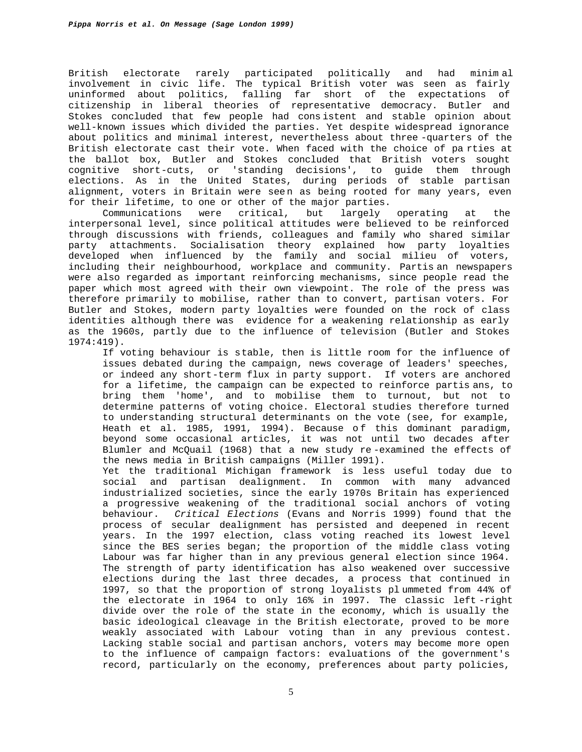British electorate rarely participated politically and had minim al involvement in civic life. The typical British voter was seen as fairly uninformed about politics, falling far short of the expectations of citizenship in liberal theories of representative democracy. Butler and Stokes concluded that few people had cons istent and stable opinion about well-known issues which divided the parties. Yet despite widespread ignorance about politics and minimal interest, nevertheless about three -quarters of the British electorate cast their vote. When faced with the choice of pa rties at the ballot box, Butler and Stokes concluded that British voters sought cognitive short-cuts, or 'standing decisions', to guide them through elections. As in the United States, during periods of stable partisan alignment, voters in Britain were seen as being rooted for many years, even for their lifetime, to one or other of the major parties.

Communications were critical, but largely operating at the interpersonal level, since political attitudes were believed to be reinforced through discussions with friends, colleagues and family who shared similar party attachments. Socialisation theory explained how party loyalties developed when influenced by the family and social milieu of voters, including their neighbourhood, workplace and community. Partis an newspapers were also regarded as important reinforcing mechanisms, since people read the paper which most agreed with their own viewpoint. The role of the press was therefore primarily to mobilise, rather than to convert, partisan voters. For Butler and Stokes, modern party loyalties were founded on the rock of class identities although there was evidence for a weakening relationship as early as the 1960s, partly due to the influence of television (Butler and Stokes 1974:419).

If voting behaviour is stable, then is little room for the influence of issues debated during the campaign, news coverage of leaders' speeches, or indeed any short-term flux in party support. If voters are anchored for a lifetime, the campaign can be expected to reinforce partis ans, to bring them 'home', and to mobilise them to turnout, but not to determine patterns of voting choice. Electoral studies therefore turned to understanding structural determinants on the vote (see, for example, Heath et al. 1985, 1991, 1994). Because of this dominant paradigm, beyond some occasional articles, it was not until two decades after Blumler and McQuail (1968) that a new study re -examined the effects of the news media in British campaigns (Miller 1991).

Yet the traditional Michigan framework is less useful today due to social and partisan dealignment. In common with many advanced industrialized societies, since the early 1970s Britain has experienced a progressive weakening of the traditional social anchors of voting behaviour. *Critical Elections* (Evans and Norris 1999) found that the process of secular dealignment has persisted and deepened in recent years. In the 1997 election, class voting reached its lowest level since the BES series began; the proportion of the middle class voting Labour was far higher than in any previous general election since 1964. The strength of party identification has also weakened over successive elections during the last three decades, a process that continued in 1997, so that the proportion of strong loyalists pl ummeted from 44% of the electorate in 1964 to only 16% in 1997. The classic left -right divide over the role of the state in the economy, which is usually the basic ideological cleavage in the British electorate, proved to be more weakly associated with Labour voting than in any previous contest. Lacking stable social and partisan anchors, voters may become more open to the influence of campaign factors: evaluations of the government's record, particularly on the economy, preferences about party policies,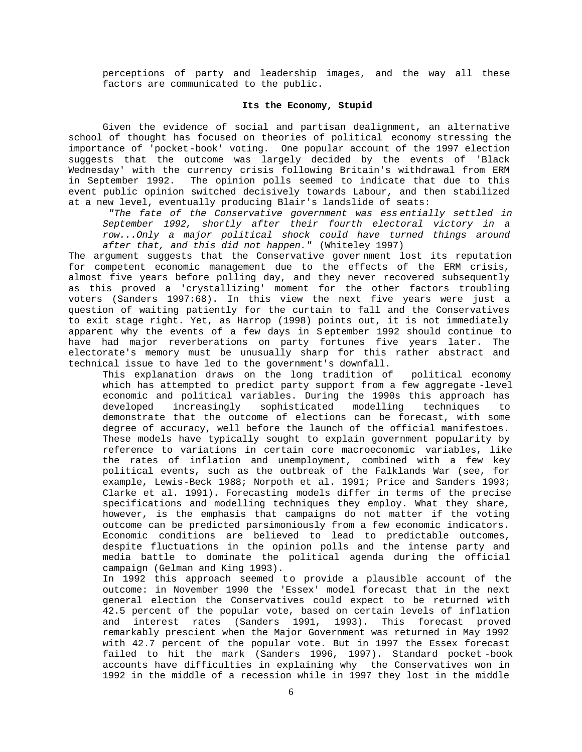perceptions of party and leadership images, and the way all these factors are communicated to the public.

### **Its the Economy, Stupid**

Given the evidence of social and partisan dealignment, an alternative school of thought has focused on theories of political economy stressing the importance of 'pocket-book' voting. One popular account of the 1997 election suggests that the outcome was largely decided by the events of 'Black Wednesday' with the currency crisis following Britain's withdrawal from ERM in September 1992. The opinion polls seemed to indicate that due to this event public opinion switched decisively towards Labour, and then stabilized at a new level, eventually producing Blair's landslide of seats:

*"The fate of the Conservative government was ess entially settled in September 1992, shortly after their fourth electoral victory in a row...Only a major political shock could have turned things around after that, and this did not happen."* (Whiteley 1997)

The argument suggests that the Conservative gover nment lost its reputation for competent economic management due to the effects of the ERM crisis, almost five years before polling day, and they never recovered subsequently as this proved a 'crystallizing' moment for the other factors troubling voters (Sanders 1997:68). In this view the next five years were just a question of waiting patiently for the curtain to fall and the Conservatives to exit stage right. Yet, as Harrop (1998) points out, it is not immediately apparent why the events of a few days in S eptember 1992 should continue to have had major reverberations on party fortunes five years later. The electorate's memory must be unusually sharp for this rather abstract and technical issue to have led to the government's downfall.

This explanation draws on the long tradition of political economy which has attempted to predict party support from a few aggregate -level economic and political variables. During the 1990s this approach has<br>developed increasingly sophisticated modelling techniques to developed increasingly sophisticated modelling techniques to demonstrate that the outcome of elections can be forecast, with some degree of accuracy, well before the launch of the official manifestoes. These models have typically sought to explain government popularity by reference to variations in certain core macroeconomic variables, like the rates of inflation and unemployment, combined with a few key political events, such as the outbreak of the Falklands War (see, for example, Lewis-Beck 1988; Norpoth et al. 1991; Price and Sanders 1993; Clarke et al. 1991). Forecasting models differ in terms of the precise specifications and modelling techniques they employ. What they share, however, is the emphasis that campaigns do not matter if the voting outcome can be predicted parsimoniously from a few economic indicators. Economic conditions are believed to lead to predictable outcomes, despite fluctuations in the opinion polls and the intense party and media battle to dominate the political agenda during the official campaign (Gelman and King 1993).

In 1992 this approach seemed to provide a plausible account of the outcome: in November 1990 the 'Essex' model forecast that in the next general election the Conservatives could expect to be returned with 42.5 percent of the popular vote, based on certain levels of inflation and interest rates (Sanders 1991, 1993). This forecast proved remarkably prescient when the Major Government was returned in May 1992 with 42.7 percent of the popular vote. But in 1997 the Essex forecast failed to hit the mark (Sanders 1996, 1997). Standard pocket -book accounts have difficulties in explaining why the Conservatives won in 1992 in the middle of a recession while in 1997 they lost in the middle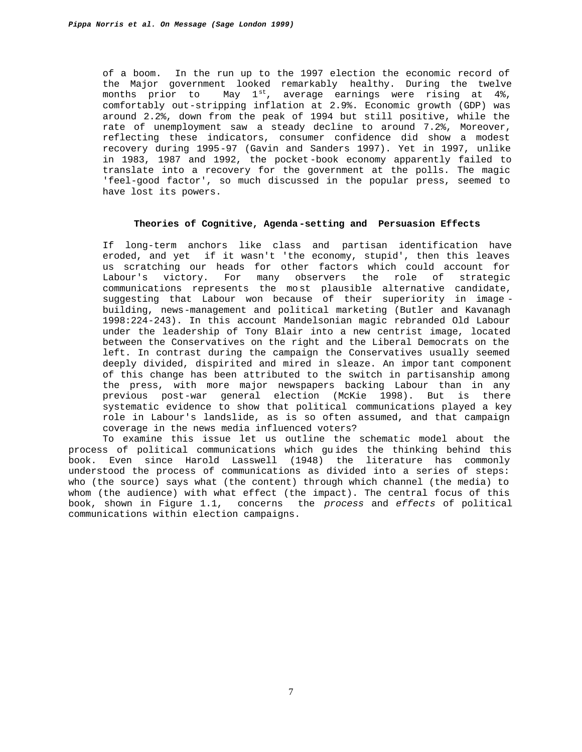of a boom. In the run up to the 1997 election the economic record of the Major government looked remarkably healthy. During the twelve months prior to  $May \ 1^{st}$ , average earnings were rising at  $4\%$ , comfortably out-stripping inflation at 2.9%. Economic growth (GDP) was around 2.2%, down from the peak of 1994 but still positive, while the rate of unemployment saw a steady decline to around 7.2%, Moreover, reflecting these indicators, consumer confidence did show a modest recovery during 1995-97 (Gavin and Sanders 1997). Yet in 1997, unlike in 1983, 1987 and 1992, the pocket -book economy apparently failed to translate into a recovery for the government at the polls. The magic 'feel-good factor', so much discussed in the popular press, seemed to have lost its powers.

### **Theories of Cognitive, Agenda-setting and Persuasion Effects**

If long-term anchors like class and partisan identification have eroded, and yet if it wasn't 'the economy, stupid', then this leaves us scratching our heads for other factors which could account for Labour's victory. For many observers the role of strategic communications represents the most plausible alternative candidate, suggesting that Labour won because of their superiority in image building, news-management and political marketing (Butler and Kavanagh 1998:224-243). In this account Mandelsonian magic rebranded Old Labour under the leadership of Tony Blair into a new centrist image, located between the Conservatives on the right and the Liberal Democrats on the left. In contrast during the campaign the Conservatives usually seemed deeply divided, dispirited and mired in sleaze. An impor tant component of this change has been attributed to the switch in partisanship among the press, with more major newspapers backing Labour than in any previous post-war general election (McKie 1998). But is there systematic evidence to show that political communications played a key role in Labour's landslide, as is so often assumed, and that campaign coverage in the news media influenced voters?

To examine this issue let us outline the schematic model about the process of political communications which gu ides the thinking behind this book. Even since Harold Lasswell (1948) the literature has commonly understood the process of communications as divided into a series of steps: who (the source) says what (the content) through which channel (the media) to whom (the audience) with what effect (the impact). The central focus of this book, shown in Figure 1.1, concerns the *process* and *effects* of political communications within election campaigns.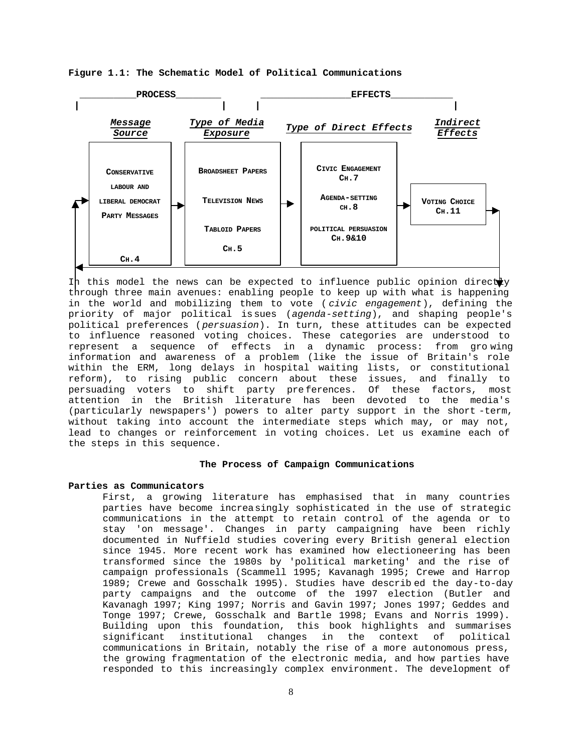

**Figure 1.1: The Schematic Model of Political Communications** 

In this model the news can be expected to influence public opinion directly through three main avenues: enabling people to keep up with what is happening in the world and mobilizing them to vote ( *civic engagement*), defining the priority of major political issues (*agenda-setting*), and shaping people's political preferences (*persuasion*). In turn, these attitudes can be expected to influence reasoned voting choices. These categories are understood to represent a sequence of effects in a dynamic process: from gro wing information and awareness of a problem (like the issue of Britain's role within the ERM, long delays in hospital waiting lists, or constitutional reform), to rising public concern about these issues, and finally to persuading voters to shift party pre ferences. Of these factors, most attention in the British literature has been devoted to the media's (particularly newspapers') powers to alter party support in the short -term, without taking into account the intermediate steps which may, or may not, lead to changes or reinforcement in voting choices. Let us examine each of the steps in this sequence.

### **The Process of Campaign Communications**

### **Parties as Communicators**

First, a growing literature has emphasised that in many countries parties have become increasingly sophisticated in the use of strategic communications in the attempt to retain control of the agenda or to stay 'on message'. Changes in party campaigning have been richly documented in Nuffield studies covering every British general election since 1945. More recent work has examined how electioneering has been transformed since the 1980s by 'political marketing' and the rise of campaign professionals (Scammell 1995; Kavanagh 1995; Crewe and Harrop 1989; Crewe and Gosschalk 1995). Studies have describ ed the day-to-day party campaigns and the outcome of the 1997 election (Butler and Kavanagh 1997; King 1997; Norris and Gavin 1997; Jones 1997; Geddes and Tonge 1997; Crewe, Gosschalk and Bartle 1998; Evans and Norris 1999). Building upon this foundation, this book highlights and summarises significant institutional changes in the context of political communications in Britain, notably the rise of a more autonomous press, the growing fragmentation of the electronic media, and how parties have responded to this increasingly complex environment. The development of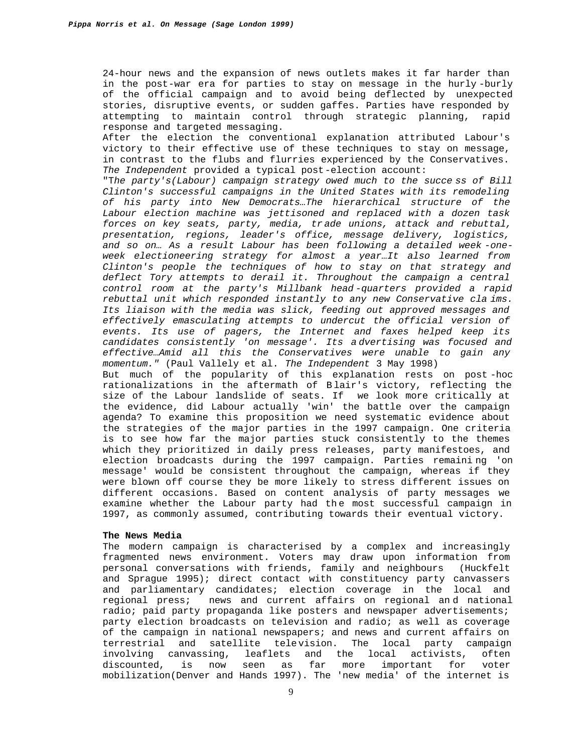24-hour news and the expansion of news outlets makes it far harder than in the post-war era for parties to stay on message in the hurly -burly of the official campaign and to avoid being deflected by unexpected stories, disruptive events, or sudden gaffes. Parties have responded by attempting to maintain control through strategic planning, rapid response and targeted messaging.

After the election the conventional explanation attributed Labour's victory to their effective use of these techniques to stay on message, in contrast to the flubs and flurries experienced by the Conservatives. *The Independent* provided a typical post-election account:

"T*he party's(Labour) campaign strategy owed much to the succe ss of Bill Clinton's successful campaigns in the United States with its remodeling of his party into New Democrats…The hierarchical structure of the Labour election machine was jettisoned and replaced with a dozen task forces on key seats, party, media, tr ade unions, attack and rebuttal, presentation, regions, leader's office, message delivery, logistics, and so on… As a result Labour has been following a detailed week -oneweek electioneering strategy for almost a year…It also learned from Clinton's people the techniques of how to stay on that strategy and deflect Tory attempts to derail it. Throughout the campaign a central control room at the party's Millbank head -quarters provided a rapid rebuttal unit which responded instantly to any new Conservative cla ims. Its liaison with the media was slick, feeding out approved messages and effectively emasculating attempts to undercut the official version of events. Its use of pagers, the Internet and faxes helped keep its candidates consistently 'on message'. Its a dvertising was focused and effective…Amid all this the Conservatives were unable to gain any momentum."* (Paul Vallely et al. *The Independent* 3 May 1998)

But much of the popularity of this explanation rests on post -hoc rationalizations in the aftermath of B lair's victory, reflecting the size of the Labour landslide of seats. If we look more critically at the evidence, did Labour actually 'win' the battle over the campaign agenda? To examine this proposition we need systematic evidence about the strategies of the major parties in the 1997 campaign. One criteria is to see how far the major parties stuck consistently to the themes which they prioritized in daily press releases, party manifestoes, and election broadcasts during the 1997 campaign. Parties remaini ng 'on message' would be consistent throughout the campaign, whereas if they were blown off course they be more likely to stress different issues on different occasions. Based on content analysis of party messages we examine whether the Labour party had the most successful campaign in 1997, as commonly assumed, contributing towards their eventual victory.

### **The News Media**

The modern campaign is characterised by a complex and increasingly fragmented news environment. Voters may draw upon information from personal conversations with friends, family and neighbours (Huckfelt and Sprague 1995); direct contact with constituency party canvassers and parliamentary candidates; election coverage in the local and regional press; news and current affairs on regional and national radio; paid party propaganda like posters and newspaper advertisements; party election broadcasts on television and radio; as well as coverage of the campaign in national newspapers; and news and current affairs on terrestrial and satellite television. The local party campaign involving canvassing, leaflets and the local activists, often discounted, is now seen as far more important for voter mobilization(Denver and Hands 1997). The 'new media' of the internet is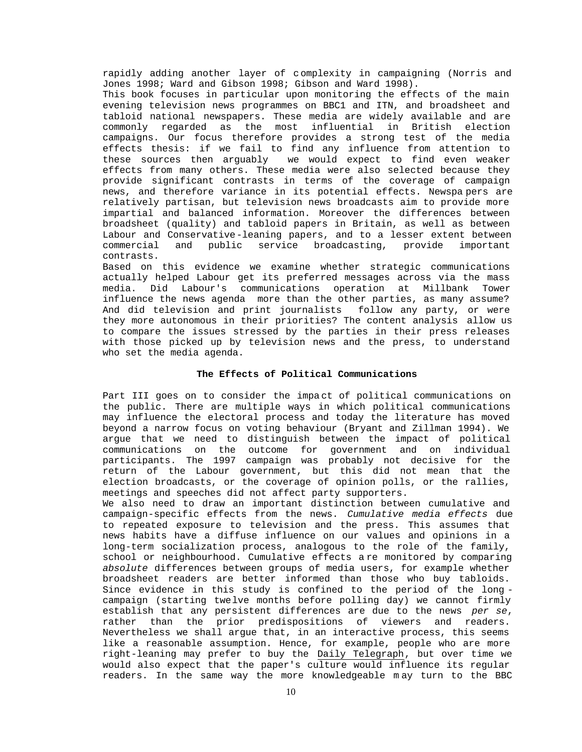rapidly adding another layer of c omplexity in campaigning (Norris and Jones 1998; Ward and Gibson 1998; Gibson and Ward 1998).

This book focuses in particular upon monitoring the effects of the main evening television news programmes on BBC1 and ITN, and broadsheet and tabloid national newspapers. These media are widely available and are commonly regarded as the most influential in British election campaigns. Our focus therefore provides a strong test of the media effects thesis: if we fail to find any influence from attention to these sources then arguably we would expect to find even weaker effects from many others. These media were also selected because they provide significant contrasts in terms of the coverage of campaign news, and therefore variance in its potential effects. Newspa pers are relatively partisan, but television news broadcasts aim to provide more impartial and balanced information. Moreover the differences between broadsheet (quality) and tabloid papers in Britain, as well as between Labour and Conservative-leaning papers, and to a lesser extent between commercial and public service broadcasting, provide important contrasts.

Based on this evidence we examine whether strategic communications actually helped Labour get its preferred messages across via the mass media. Did Labour's communications operation at Millbank Tower influence the news agenda more than the other parties, as many assume? And did television and print journalists follow any party, or were they more autonomous in their priorities? The content analysis allow us to compare the issues stressed by the parties in their press releases with those picked up by television news and the press, to understand who set the media agenda.

## **The Effects of Political Communications**

Part III goes on to consider the impa ct of political communications on the public. There are multiple ways in which political communications may influence the electoral process and today the literature has moved beyond a narrow focus on voting behaviour (Bryant and Zillman 1994). We argue that we need to distinguish between the impact of political communications on the outcome for government and on individual participants. The 1997 campaign was probably not decisive for the return of the Labour government, but this did not mean that the election broadcasts, or the coverage of opinion polls, or the rallies, meetings and speeches did not affect party supporters.

We also need to draw an important distinction between cumulative and campaign-specific effects from the news. *Cumulative media effects* due to repeated exposure to television and the press. This assumes that news habits have a diffuse influence on our values and opinions in a long-term socialization process, analogous to the role of the family, school or neighbourhood. Cumulative effects a re monitored by comparing *absolute* differences between groups of media users, for example whether broadsheet readers are better informed than those who buy tabloids. Since evidence in this study is confined to the period of the long campaign (starting twelve months before polling day) we cannot firmly establish that any persistent differences are due to the news *per se*, rather than the prior predispositions of viewers and readers. Nevertheless we shall argue that, in an interactive process, this seems like a reasonable assumption. Hence, for example, people who are more right-leaning may prefer to buy the Daily Telegraph, but over time we would also expect that the paper's culture would influence its regular readers. In the same way the more knowledgeable m ay turn to the BBC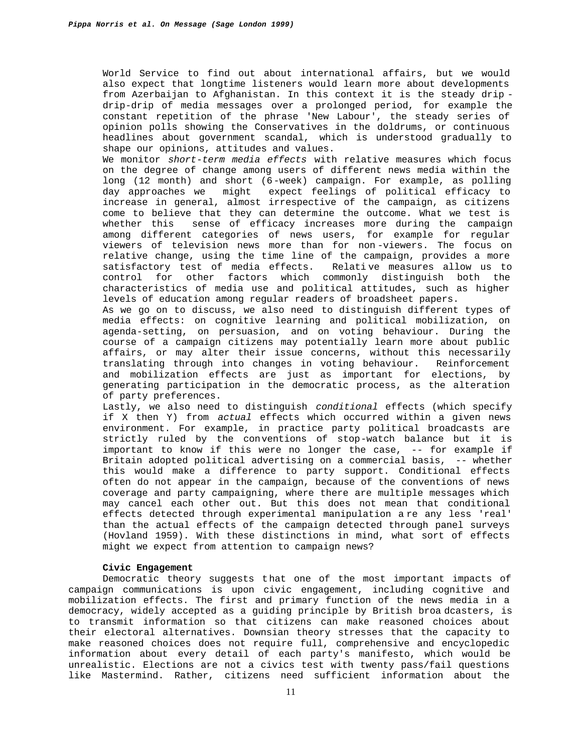World Service to find out about international affairs, but we would also expect that longtime listeners would learn more about developments from Azerbaijan to Afghanistan. In this context it is the steady drip drip-drip of media messages over a prolonged period, for example the constant repetition of the phrase 'New Labour', the steady series of opinion polls showing the Conservatives in the doldrums, or continuous headlines about government scandal, which is understood gradually to shape our opinions, attitudes and values.

We monitor *short-term media effects* with relative measures which focus on the degree of change among users of different news media within the long (12 month) and short (6-week) campaign. For example, as polling day approaches we might expect feelings of political efficacy to increase in general, almost irrespective of the campaign, as citizens come to believe that they can determine the outcome. What we test is whether this sense of efficacy increases more during the campaign among different categories of news users, for example for regular viewers of television news more than for non -viewers. The focus on relative change, using the time line of the campaign, provides a more satisfactory test of media effects. Relati ve measures allow us to control for other factors which commonly distinguish both the characteristics of media use and political attitudes, such as higher levels of education among regular readers of broadsheet papers.

As we go on to discuss, we also need to distinguish different types of media effects: on cognitive learning and political mobilization, on agenda-setting, on persuasion, and on voting behaviour. During the course of a campaign citizens may potentially learn more about public affairs, or may alter their issue concerns, without this necessarily translating through into changes in voting behaviour. Reinforcement and mobilization effects are just as important for elections, by generating participation in the democratic process, as the alteration of party preferences.

Lastly, we also need to distinguish *conditional* effects (which specify if X then Y) from *actual* effects which occurred within a given news environment. For example, in practice party political broadcasts are strictly ruled by the conventions of stop-watch balance but it is important to know if this were no longer the case, -- for example if Britain adopted political advertising on a commercial basis, -- whether this would make a difference to party support. Conditional effects often do not appear in the campaign, because of the conventions of news coverage and party campaigning, where there are multiple messages which may cancel each other out. But this does not mean that conditional effects detected through experimental manipulation a re any less 'real' than the actual effects of the campaign detected through panel surveys (Hovland 1959). With these distinctions in mind, what sort of effects might we expect from attention to campaign news?

### **Civic Engagement**

Democratic theory suggests that one of the most important impacts of campaign communications is upon civic engagement, including cognitive and mobilization effects. The first and primary function of the news media in a democracy, widely accepted as a guiding principle by British broa dcasters, is to transmit information so that citizens can make reasoned choices about their electoral alternatives. Downsian theory stresses that the capacity to make reasoned choices does not require full, comprehensive and encyclopedic information about every detail of each party's manifesto, which would be unrealistic. Elections are not a civics test with twenty pass/fail questions like Mastermind. Rather, citizens need sufficient information about the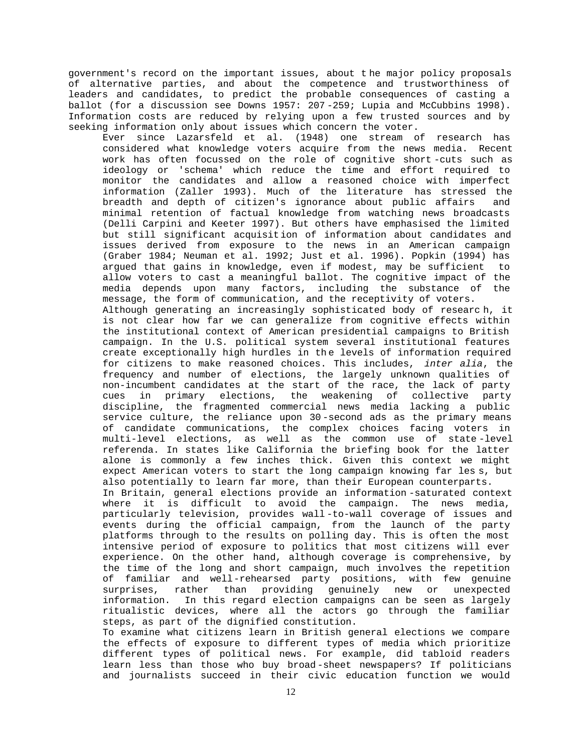government's record on the important issues, about t he major policy proposals of alternative parties, and about the competence and trustworthiness of leaders and candidates, to predict the probable consequences of casting a ballot (for a discussion see Downs 1957: 207 -259; Lupia and McCubbins 1998). Information costs are reduced by relying upon a few trusted sources and by seeking information only about issues which concern the voter.

Ever since Lazarsfeld et al. (1948) one stream of research has considered what knowledge voters acquire from the news media. Recent work has often focussed on the role of cognitive short -cuts such as ideology or 'schema' which reduce the time and effort required to monitor the candidates and allow a reasoned choice with imperfect information (Zaller 1993). Much of the literature has stressed the breadth and depth of citizen's ignorance about public affairs and minimal retention of factual knowledge from watching news broadcasts (Delli Carpini and Keeter 1997). But others have emphasised the limited but still significant acquisition of information about candidates and issues derived from exposure to the news in an American campaign (Graber 1984; Neuman et al. 1992; Just et al. 1996). Popkin (1994) has argued that gains in knowledge, even if modest, may be sufficient to allow voters to cast a meaningful ballot. The cognitive impact of the media depends upon many factors, including the substance of the message, the form of communication, and the receptivity of voters. Although generating an increasingly sophisticated body of researc h, it is not clear how far we can generalize from cognitive effects within the institutional context of American presidential campaigns to British campaign. In the U.S. political system several institutional features create exceptionally high hurdles in the levels of information required for citizens to make reasoned choices. This includes, *inter alia*, the frequency and number of elections, the largely unknown qualities of non-incumbent candidates at the start of the race, the lack of party cues in primary elections, the weakening of collective party discipline, the fragmented commercial news media lacking a public service culture, the reliance upon 30 -second ads as the primary means of candidate communications, the complex choices facing voters in multi-level elections, as well as the common use of state -level referenda. In states like California the briefing book for the latter alone is commonly a few inches thick. Given this context we might expect American voters to start the long campaign knowing far les s, but

also potentially to learn far more, than their European counterparts. In Britain, general elections provide an information -saturated context where it is difficult to avoid the campaign. The news media, particularly television, provides wall -to-wall coverage of issues and events during the official campaign, from the launch of the party platforms through to the results on polling day. This is often the most intensive period of exposure to politics that most citizens will ever experience. On the other hand, although coverage is comprehensive, by the time of the long and short campaign, much involves the repetition of familiar and well-rehearsed party positions, with few genuine<br>surprises, rather than providing genuinely new or unexpected surprises, rather than providing genuinely new or unexpected information. In this regard election campaigns can be seen as largely ritualistic devices, where all the actors go through the familiar steps, as part of the dignified constitution.

To examine what citizens learn in British general elections we compare the effects of exposure to different types of media which prioritize different types of political news. For example, did tabloid readers learn less than those who buy broad -sheet newspapers? If politicians and journalists succeed in their civic education function we would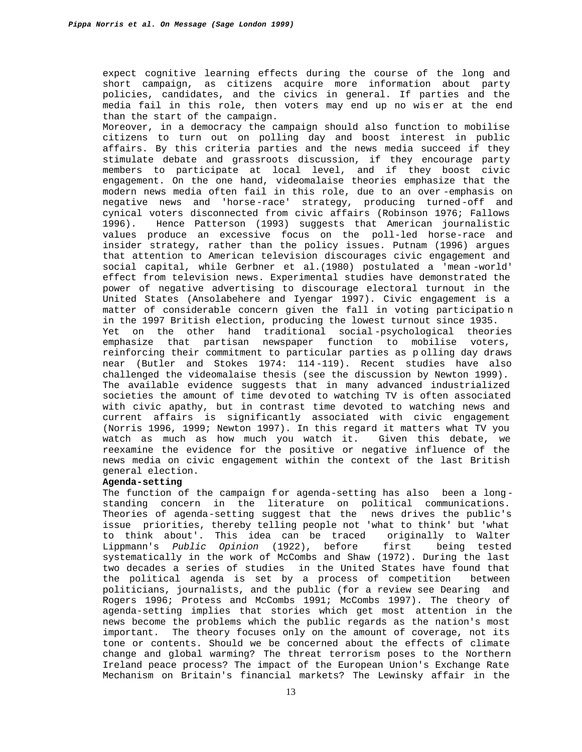expect cognitive learning effects during the course of the long and short campaign, as citizens acquire more information about party policies, candidates, and the civics in general. If parties and the media fail in this role, then voters may end up no wis er at the end than the start of the campaign.

Moreover, in a democracy the campaign should also function to mobilise citizens to turn out on polling day and boost interest in public affairs. By this criteria parties and the news media succeed if they stimulate debate and grassroots discussion, if they encourage party members to participate at local level, and if they boost civic engagement. On the one hand, videomalaise theories emphasize that the modern news media often fail in this role, due to an over -emphasis on negative news and 'horse-race' strategy, producing turned -off and cynical voters disconnected from civic affairs (Robinson 1976; Fallows 1996). Hence Patterson (1993) suggests that American journalistic values produce an excessive focus on the poll-led horse-race and insider strategy, rather than the policy issues. Putnam (1996) argues that attention to American television discourages civic engagement and social capital, while Gerbner et al.(1980) postulated a 'mean -world' effect from television news. Experimental studies have demonstrated the power of negative advertising to discourage electoral turnout in the United States (Ansolabehere and Iyengar 1997). Civic engagement is a matter of considerable concern given the fall in voting participatio n in the 1997 British election, producing the lowest turnout since 1935. Yet on the other hand traditional social -psychological theories emphasize that partisan newspaper function to mobilise voters, reinforcing their commitment to particular parties as p olling day draws near (Butler and Stokes 1974: 114 -119). Recent studies have also challenged the videomalaise thesis (see the discussion by Newton 1999). The available evidence suggests that in many advanced industrialized societies the amount of time dev oted to watching TV is often associated with civic apathy, but in contrast time devoted to watching news and current affairs is significantly associated with civic engagement (Norris 1996, 1999; Newton 1997). In this regard it matters what TV you watch as much as how much you watch it. Given this debate, we reexamine the evidence for the positive or negative influence of the news media on civic engagement within the context of the last British general election.

### **Agenda-setting**

The function of the campaign for agenda-setting has also been a longstanding concern in the literature on political communications. Theories of agenda-setting suggest that the news drives the public's issue priorities, thereby telling people not 'what to think' but 'what to think about'. This idea can be traced originally to Walter Lippmann's *Public Opinion* (1922), before first being tested systematically in the work of McCombs and Shaw (1972). During the last two decades a series of studies in the United States have found that the political agenda is set by a process of competition between politicians, journalists, and the public (for a review see Dearing and Rogers 1996; Protess and McCombs 1991; McCombs 1997). The theory of agenda-setting implies that stories which get most attention in the news become the problems which the public regards as the nation's most important. The theory focuses only on the amount of coverage, not its tone or contents. Should we be concerned about the effects of climate change and global warming? The threat terrorism poses to the Northern Ireland peace process? The impact of the European Union's Exchange Rate Mechanism on Britain's financial markets? The Lewinsky affair in the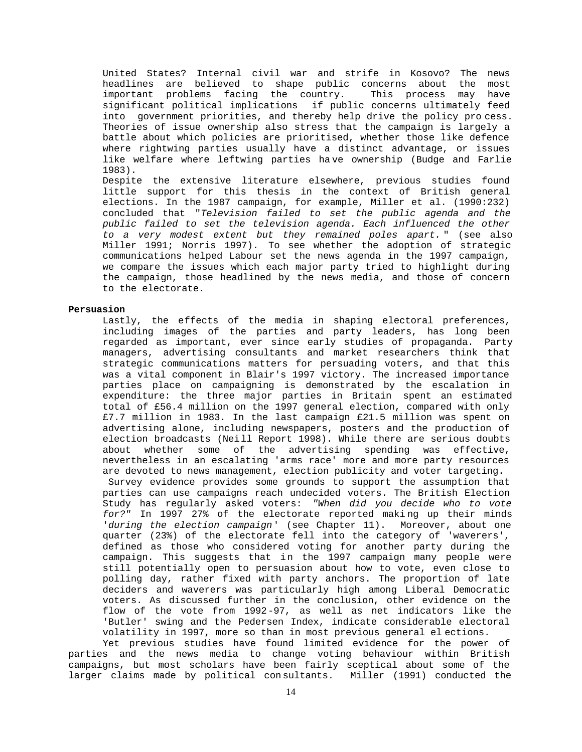United States? Internal civil war and strife in Kosovo? The news headlines are believed to shape public concerns about the most<br>important problems facing the country. This process may have important problems facing the country. significant political implications if public concerns ultimately feed into government priorities, and thereby help drive the policy pro cess. Theories of issue ownership also stress that the campaign is largely a battle about which policies are prioritised, whether those like defence where rightwing parties usually have a distinct advantage, or issues like welfare where leftwing parties ha ve ownership (Budge and Farlie 1983).

Despite the extensive literature elsewhere, previous studies found little support for this thesis in the context of British general elections. In the 1987 campaign, for example, Miller et al. (1990:232) concluded that "*Television failed to set the public agenda and the public failed to set the television agenda. Each influenced the other to a very modest extent but they remained poles apart.* " (see also Miller 1991; Norris 1997). To see whether the adoption of strategic communications helped Labour set the news agenda in the 1997 campaign, we compare the issues which each major party tried to highlight during the campaign, those headlined by the news media, and those of concern to the electorate.

### **Persuasion**

Lastly, the effects of the media in shaping electoral preferences, including images of the parties and party leaders, has long been regarded as important, ever since early studies of propaganda. Party managers, advertising consultants and market researchers think that strategic communications matters for persuading voters, and that this was a vital component in Blair's 1997 victory. The increased importance parties place on campaigning is demonstrated by the escalation in expenditure: the three major parties in Britain spent an estimated total of £56.4 million on the 1997 general election, compared with only £7.7 million in 1983. In the last campaign £21.5 million was spent on advertising alone, including newspapers, posters and the production of election broadcasts (Neill Report 1998). While there are serious doubts about whether some of the advertising spending was effective, nevertheless in an escalating 'arms race' more and more party resources are devoted to news management, election publicity and voter targeting.

Survey evidence provides some grounds to support the assumption that parties can use campaigns reach undecided voters. The British Election Study has regularly asked voters: *"When did you decide who to vote for?"* In 1997 27% of the electorate reported maki ng up their minds '*during the election campaign*' (see Chapter 11). Moreover, about one quarter (23%) of the electorate fell into the category of 'waverers', defined as those who considered voting for another party during the campaign. This suggests that in the 1997 campaign many people were still potentially open to persuasion about how to vote, even close to polling day, rather fixed with party anchors. The proportion of late deciders and waverers was particularly high among Liberal Democratic voters. As discussed further in the conclusion, other evidence on the flow of the vote from 1992-97, as well as net indicators like the 'Butler' swing and the Pedersen Index, indicate considerable electoral volatility in 1997, more so than in most previous general el ections.

Yet previous studies have found limited evidence for the power of parties and the news media to change voting behaviour within British campaigns, but most scholars have been fairly sceptical about some of the larger claims made by political con sultants. Miller (1991) conducted the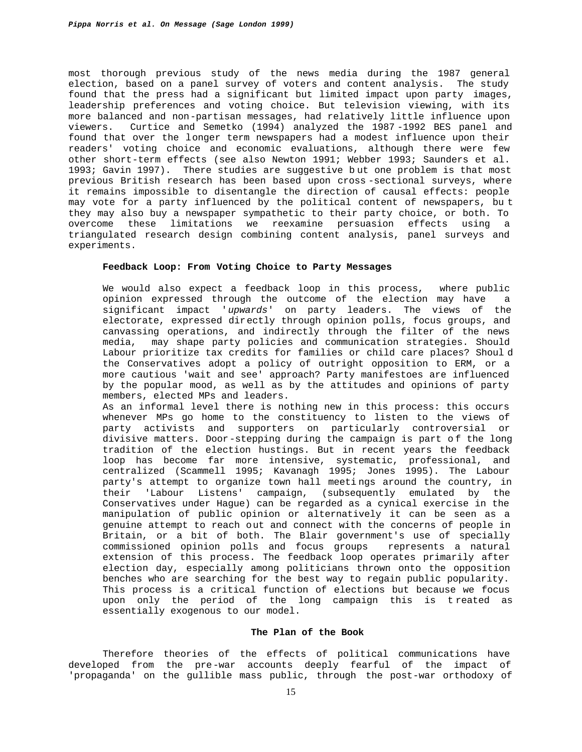most thorough previous study of the news media during the 1987 general election, based on a panel survey of voters and content analysis. The study found that the press had a significant but limited impact upon party images, leadership preferences and voting choice. But television viewing, with its more balanced and non-partisan messages, had relatively little influence upon viewers. Curtice and Semetko (1994) analyzed the 1987 -1992 BES panel and found that over the longer term newspapers had a modest influence upon their readers' voting choice and economic evaluations, although there were few other short-term effects (see also Newton 1991; Webber 1993; Saunders et al. 1993; Gavin 1997). There studies are suggestive b ut one problem is that most previous British research has been based upon cross -sectional surveys, where it remains impossible to disentangle the direction of causal effects: people may vote for a party influenced by the political content of newspapers, bu t they may also buy a newspaper sympathetic to their party choice, or both. To overcome these limitations we reexamine persuasion effects using a triangulated research design combining content analysis, panel surveys and experiments.

## **Feedback Loop: From Voting Choice to Party Messages**

We would also expect a feedback loop in this process, where public opinion expressed through the outcome of the election may have a significant impact '*upwards*' on party leaders. The views of the electorate, expressed directly through opinion polls, focus groups, and canvassing operations, and indirectly through the filter of the news media, may shape party policies and communication strategies. Should Labour prioritize tax credits for families or child care places? Shoul d the Conservatives adopt a policy of outright opposition to ERM, or a more cautious 'wait and see' approach? Party manifestoes are influenced by the popular mood, as well as by the attitudes and opinions of party members, elected MPs and leaders.

As an informal level there is nothing new in this process: this occurs whenever MPs go home to the constituency to listen to the views of party activists and supporters on particularly controversial or divisive matters. Door-stepping during the campaign is part of the long tradition of the election hustings. But in recent years the feedback loop has become far more intensive, systematic, professional, and centralized (Scammell 1995; Kavanagh 1995; Jones 1995). The Labour party's attempt to organize town hall meeti ngs around the country, in their 'Labour Listens' campaign, (subsequently emulated by the Conservatives under Hague) can be regarded as a cynical exercise in the manipulation of public opinion or alternatively it can be seen as a genuine attempt to reach out and connect with the concerns of people in Britain, or a bit of both. The Blair government's use of specially commissioned opinion polls and focus groups represents a natural extension of this process. The feedback loop operates primarily after election day, especially among politicians thrown onto the opposition benches who are searching for the best way to regain public popularity. This process is a critical function of elections but because we focus upon only the period of the long campaign this is t reated as essentially exogenous to our model.

## **The Plan of the Book**

Therefore theories of the effects of political communications have developed from the pre-war accounts deeply fearful of the impact of 'propaganda' on the gullible mass public, through the post-war orthodoxy of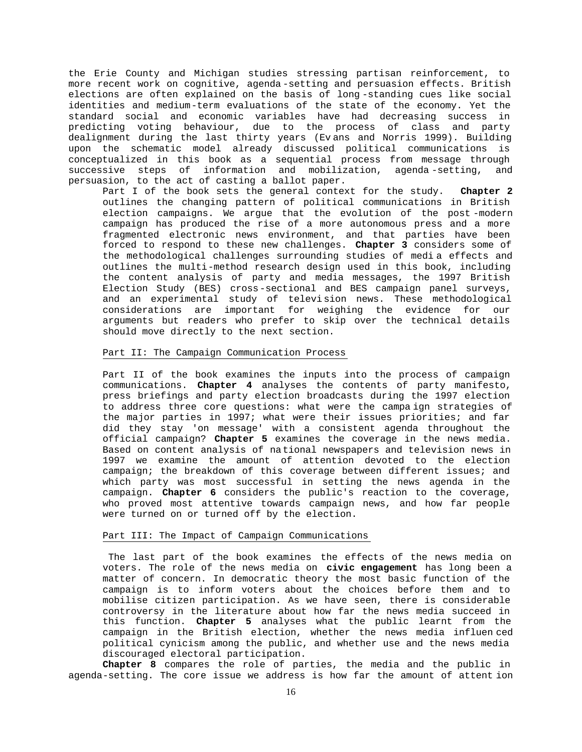the Erie County and Michigan studies stressing partisan reinforcement, to more recent work on cognitive, agenda -setting and persuasion effects. British elections are often explained on the basis of long -standing cues like social identities and medium-term evaluations of the state of the economy. Yet the standard social and economic variables have had decreasing success in predicting voting behaviour, due to the process of class and party dealignment during the last thirty years (Ev ans and Norris 1999). Building upon the schematic model already discussed political communications is conceptualized in this book as a sequential process from message through successive steps of information and mobilization, agenda -setting, and persuasion, to the act of casting a ballot paper.

Part I of the book sets the general context for the study. **Chapter 2** outlines the changing pattern of political communications in British election campaigns. We argue that the evolution of the post -modern campaign has produced the rise of a more autonomous press and a more fragmented electronic news environment, and that parties have been forced to respond to these new challenges. **Chapter 3** considers some of the methodological challenges surrounding studies of medi a effects and outlines the multi-method research design used in this book, including the content analysis of party and media messages, the 1997 British Election Study (BES) cross-sectional and BES campaign panel surveys, and an experimental study of televi sion news. These methodological considerations are important for weighing the evidence for our arguments but readers who prefer to skip over the technical details should move directly to the next section.

#### Part II: The Campaign Communication Process

Part II of the book examines the inputs into the process of campaign communications. **Chapter 4** analyses the contents of party manifesto, press briefings and party election broadcasts during the 1997 election to address three core questions: what were the campa ign strategies of the major parties in 1997; what were their issues priorities; and far did they stay 'on message' with a consistent agenda throughout the official campaign? **Chapter 5** examines the coverage in the news media. Based on content analysis of na tional newspapers and television news in 1997 we examine the amount of attention devoted to the election campaign; the breakdown of this coverage between different issues; and which party was most successful in setting the news agenda in the campaign. **Chapter 6** considers the public's reaction to the coverage, who proved most attentive towards campaign news, and how far people were turned on or turned off by the election.

#### Part III: The Impact of Campaign Communications

 The last part of the book examines the effects of the news media on voters. The role of the news media on **civic engagement** has long been a matter of concern. In democratic theory the most basic function of the campaign is to inform voters about the choices before them and to mobilise citizen participation. As we have seen, there is considerable controversy in the literature about how far the news media succeed in this function. **Chapter 5** analyses what the public learnt from the campaign in the British election, whether the news media influen ced political cynicism among the public, and whether use and the news media discouraged electoral participation.

**Chapter 8** compares the role of parties, the media and the public in agenda-setting. The core issue we address is how far the amount of attent ion